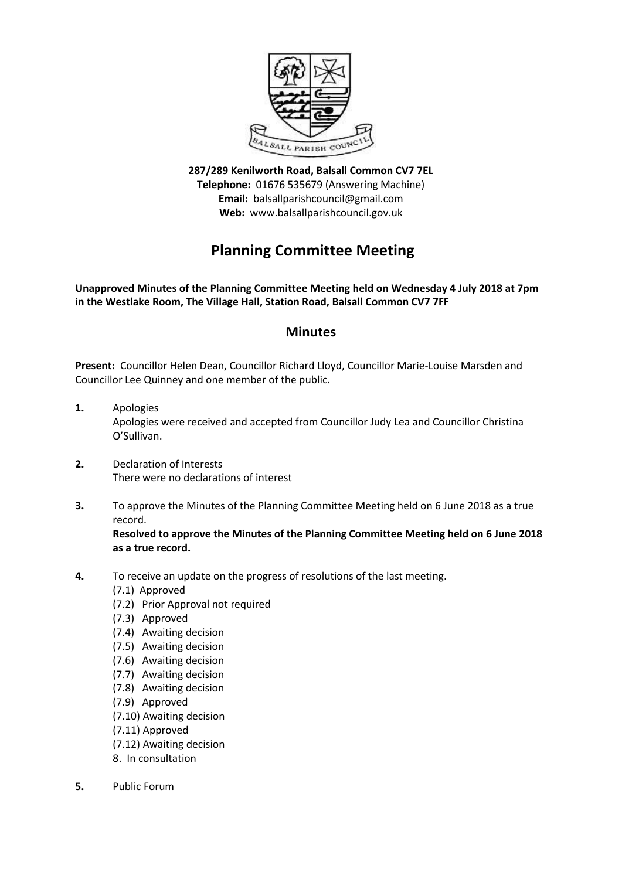

**287/289 Kenilworth Road, Balsall Common CV7 7EL Telephone:** 01676 535679 (Answering Machine) **Email:** balsallparishcouncil@gmail.com **Web:** www.balsallparishcouncil.gov.uk

# **Planning Committee Meeting**

**Unapproved Minutes of the Planning Committee Meeting held on Wednesday 4 July 2018 at 7pm in the Westlake Room, The Village Hall, Station Road, Balsall Common CV7 7FF**

## **Minutes**

**Present:** Councillor Helen Dean, Councillor Richard Lloyd, Councillor Marie-Louise Marsden and Councillor Lee Quinney and one member of the public.

- **1.** Apologies Apologies were received and accepted from Councillor Judy Lea and Councillor Christina O'Sullivan.
- **2.** Declaration of Interests There were no declarations of interest
- **3.** To approve the Minutes of the Planning Committee Meeting held on 6 June 2018 as a true record.

**Resolved to approve the Minutes of the Planning Committee Meeting held on 6 June 2018 as a true record.**

- **4.** To receive an update on the progress of resolutions of the last meeting.
	- (7.1) Approved
	- (7.2) Prior Approval not required
	- (7.3) Approved
	- (7.4) Awaiting decision
	- (7.5) Awaiting decision
	- (7.6) Awaiting decision
	- (7.7) Awaiting decision
	- (7.8) Awaiting decision
	- (7.9) Approved
	- (7.10) Awaiting decision
	- (7.11) Approved
	- (7.12) Awaiting decision
	- 8. In consultation
- **5.** Public Forum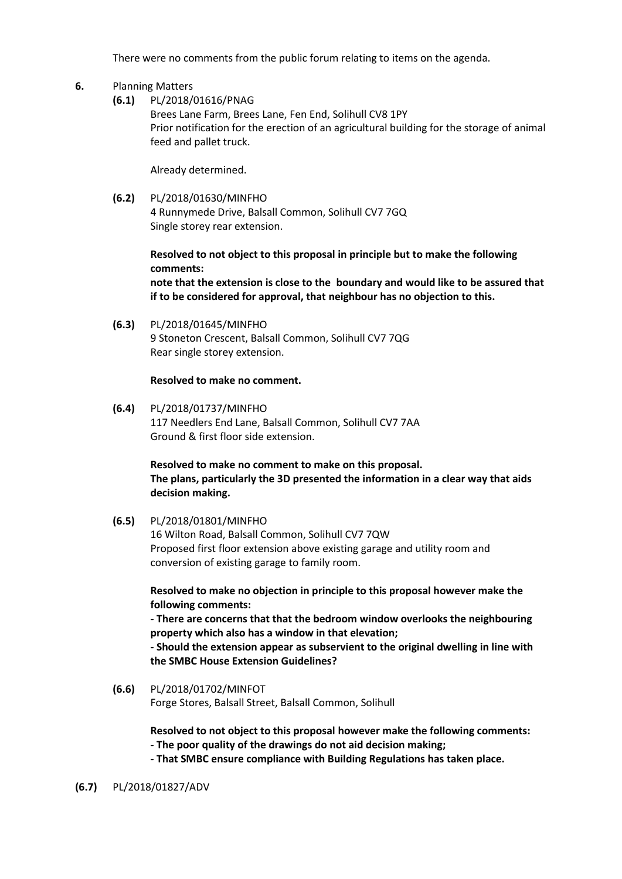There were no comments from the public forum relating to items on the agenda.

#### **6.** Planning Matters

**(6.1)** PL/2018/01616/PNAG

Brees Lane Farm, Brees Lane, Fen End, Solihull CV8 1PY [Prior notification for the erection of an agricultural building for the storage](https://publicaccess.solihull.gov.uk/online-applications/applicationDetails.do?activeTab=summary&keyVal=P9WEOFOE04M00&prevPage=inTray) of animal [feed and pallet truck.](https://publicaccess.solihull.gov.uk/online-applications/applicationDetails.do?activeTab=summary&keyVal=P9WEOFOE04M00&prevPage=inTray)

Already determined.

**(6.2)** PL/2018/01630/MINFHO 4 Runnymede Drive, Balsall Common, Solihull CV7 7GQ [Single storey rear extension.](https://publicaccess.solihull.gov.uk/online-applications/applicationDetails.do?activeTab=summary&keyVal=P9YHMWOEIUR00&prevPage=inTray)

> **Resolved to not object to this proposal in principle but to make the following comments: note that the extension is close to the boundary and would like to be assured that**

**if to be considered for approval, that neighbour has no objection to this.**

**(6.3)** PL/2018/01645/MINFHO 9 Stoneton Crescent, Balsall Common, Solihull CV7 7QG [Rear single storey extension.](https://publicaccess.solihull.gov.uk/online-applications/applicationDetails.do?activeTab=summary&keyVal=PA0F4TOEIVO00&prevPage=inTray)

#### **Resolved to make no comment.**

**(6.4)** PL/2018/01737/MINFHO 117 Needlers End Lane, Balsall Common, Solihull CV7 7AA [Ground & first floor side extension.](https://publicaccess.solihull.gov.uk/online-applications/applicationDetails.do?activeTab=summary&keyVal=PAK8ZAOEJ1I00&prevPage=inTray)

> **Resolved to make no comment to make on this proposal. The plans, particularly the 3D presented the information in a clear way that aids decision making.**

**(6.5)** PL/2018/01801/MINFHO

16 Wilton Road, Balsall Common, Solihull CV7 7QW Proposed first floor extension above existing garage and utility room and conversion of existing garage to family room.

**Resolved to make no objection in principle to this proposal however make the following comments:**

**- There are concerns that that the bedroom window overlooks the neighbouring property which also has a window in that elevation;**

**- Should the extension appear as subservient to the original dwelling in line with the SMBC House Extension Guidelines?**

**(6.6)** PL/2018/01702/MINFOT Forge Stores, Balsall Street, Balsall Common, Solihull

> **Resolved to not object to this proposal however make the following comments: - The poor quality of the drawings do not aid decision making;**

**- That SMBC ensure compliance with Building Regulations has taken place.**

#### **(6.7)** PL/2018/01827/ADV